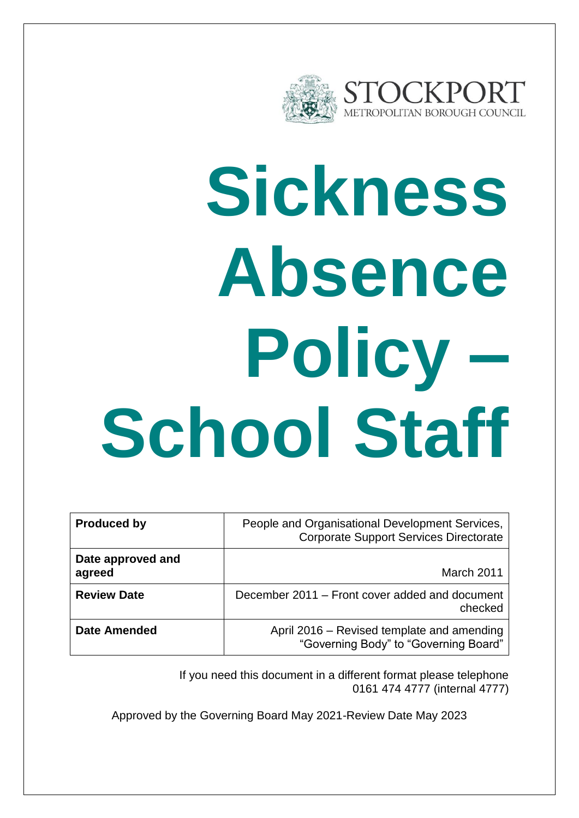

# **Sickness Absence Policy – School Staff**

| <b>Produced by</b>          | People and Organisational Development Services,<br><b>Corporate Support Services Directorate</b> |
|-----------------------------|--------------------------------------------------------------------------------------------------|
| Date approved and<br>agreed | March 2011                                                                                       |
| <b>Review Date</b>          | December 2011 – Front cover added and document<br>checked                                        |
| <b>Date Amended</b>         | April 2016 – Revised template and amending<br>"Governing Body" to "Governing Board"              |

If you need this document in a different format please telephone 0161 474 4777 (internal 4777)

Approved by the Governing Board May 2021-Review Date May 2023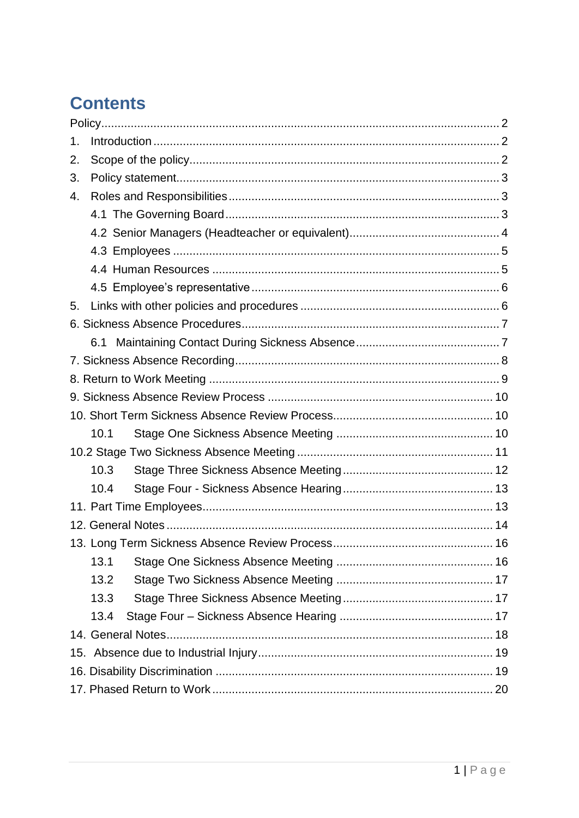# **Contents**

| 1.   |  |  |  |  |
|------|--|--|--|--|
| 2.   |  |  |  |  |
| 3.   |  |  |  |  |
| 4.   |  |  |  |  |
|      |  |  |  |  |
|      |  |  |  |  |
|      |  |  |  |  |
|      |  |  |  |  |
|      |  |  |  |  |
| 5.   |  |  |  |  |
|      |  |  |  |  |
|      |  |  |  |  |
|      |  |  |  |  |
|      |  |  |  |  |
|      |  |  |  |  |
|      |  |  |  |  |
| 10.1 |  |  |  |  |
|      |  |  |  |  |
| 10.3 |  |  |  |  |
| 10.4 |  |  |  |  |
|      |  |  |  |  |
|      |  |  |  |  |
|      |  |  |  |  |
| 13.1 |  |  |  |  |
| 13.2 |  |  |  |  |
| 13.3 |  |  |  |  |
| 13.4 |  |  |  |  |
|      |  |  |  |  |
|      |  |  |  |  |
|      |  |  |  |  |
|      |  |  |  |  |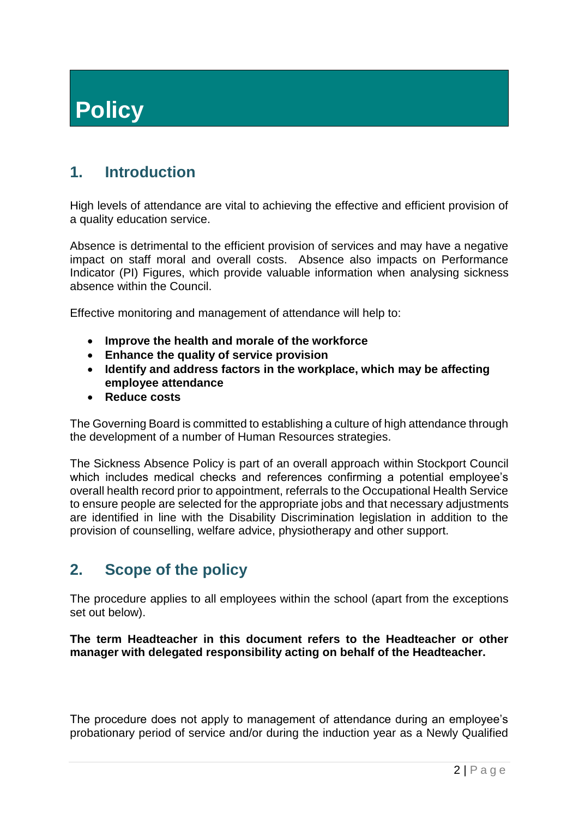# <span id="page-2-0"></span>**Policy**

# <span id="page-2-1"></span>**1. Introduction**

High levels of attendance are vital to achieving the effective and efficient provision of a quality education service.

Absence is detrimental to the efficient provision of services and may have a negative impact on staff moral and overall costs. Absence also impacts on Performance Indicator (PI) Figures, which provide valuable information when analysing sickness absence within the Council.

Effective monitoring and management of attendance will help to:

- **Improve the health and morale of the workforce**
- **Enhance the quality of service provision**
- **Identify and address factors in the workplace, which may be affecting employee attendance**
- **Reduce costs**

The Governing Board is committed to establishing a culture of high attendance through the development of a number of Human Resources strategies.

The Sickness Absence Policy is part of an overall approach within Stockport Council which includes medical checks and references confirming a potential employee's overall health record prior to appointment, referrals to the Occupational Health Service to ensure people are selected for the appropriate jobs and that necessary adjustments are identified in line with the Disability Discrimination legislation in addition to the provision of counselling, welfare advice, physiotherapy and other support.

# <span id="page-2-2"></span>**2. Scope of the policy**

The procedure applies to all employees within the school (apart from the exceptions set out below).

**The term Headteacher in this document refers to the Headteacher or other manager with delegated responsibility acting on behalf of the Headteacher.**

The procedure does not apply to management of attendance during an employee's probationary period of service and/or during the induction year as a Newly Qualified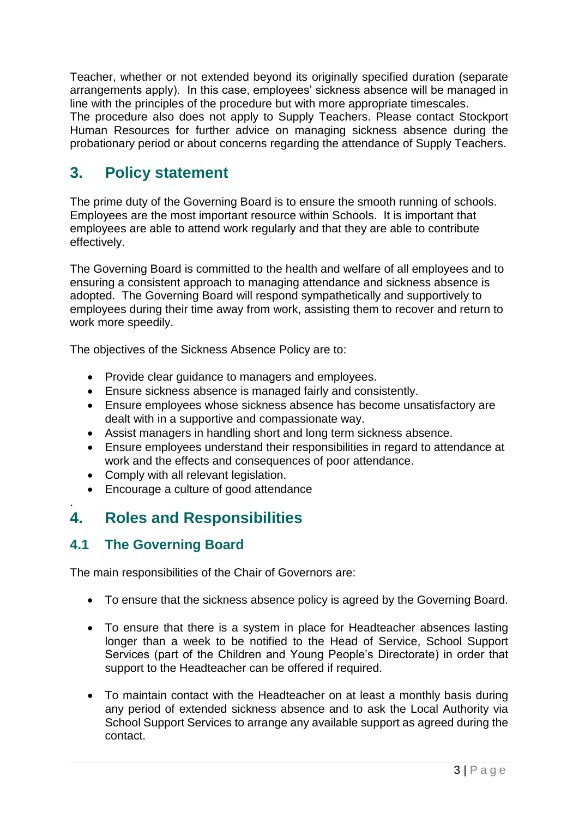Teacher, whether or not extended beyond its originally specified duration (separate arrangements apply). In this case, employees' sickness absence will be managed in line with the principles of the procedure but with more appropriate timescales. The procedure also does not apply to Supply Teachers. Please contact Stockport Human Resources for further advice on managing sickness absence during the probationary period or about concerns regarding the attendance of Supply Teachers.

# <span id="page-3-0"></span>**3. Policy statement**

The prime duty of the Governing Board is to ensure the smooth running of schools. Employees are the most important resource within Schools. It is important that employees are able to attend work regularly and that they are able to contribute effectively.

The Governing Board is committed to the health and welfare of all employees and to ensuring a consistent approach to managing attendance and sickness absence is adopted. The Governing Board will respond sympathetically and supportively to employees during their time away from work, assisting them to recover and return to work more speedily.

The objectives of the Sickness Absence Policy are to:

- Provide clear guidance to managers and employees.
- Ensure sickness absence is managed fairly and consistently.
- Ensure employees whose sickness absence has become unsatisfactory are dealt with in a supportive and compassionate way.
- Assist managers in handling short and long term sickness absence.
- Ensure employees understand their responsibilities in regard to attendance at work and the effects and consequences of poor attendance.
- Comply with all relevant legislation.
- Encourage a culture of good attendance

### <span id="page-3-1"></span>. **4. Roles and Responsibilities**

# <span id="page-3-2"></span>**4.1 The Governing Board**

The main responsibilities of the Chair of Governors are:

- To ensure that the sickness absence policy is agreed by the Governing Board.
- To ensure that there is a system in place for Headteacher absences lasting longer than a week to be notified to the Head of Service, School Support Services (part of the Children and Young People's Directorate) in order that support to the Headteacher can be offered if required.
- To maintain contact with the Headteacher on at least a monthly basis during any period of extended sickness absence and to ask the Local Authority via School Support Services to arrange any available support as agreed during the contact.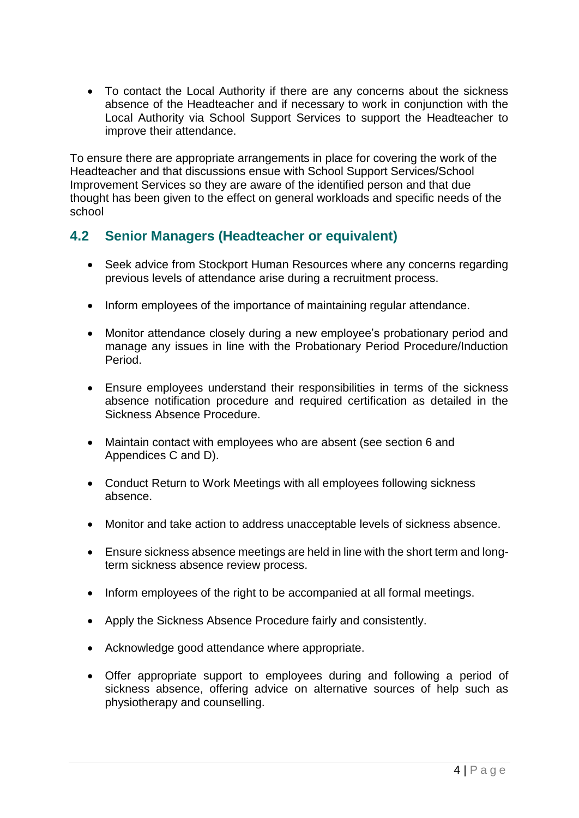To contact the Local Authority if there are any concerns about the sickness absence of the Headteacher and if necessary to work in conjunction with the Local Authority via School Support Services to support the Headteacher to improve their attendance.

To ensure there are appropriate arrangements in place for covering the work of the Headteacher and that discussions ensue with School Support Services/School Improvement Services so they are aware of the identified person and that due thought has been given to the effect on general workloads and specific needs of the school

### <span id="page-4-0"></span>**4.2 Senior Managers (Headteacher or equivalent)**

- Seek advice from Stockport Human Resources where any concerns regarding previous levels of attendance arise during a recruitment process.
- Inform employees of the importance of maintaining regular attendance.
- Monitor attendance closely during a new employee's probationary period and manage any issues in line with the Probationary Period Procedure/Induction Period.
- Ensure employees understand their responsibilities in terms of the sickness absence notification procedure and required certification as detailed in the Sickness Absence Procedure.
- Maintain contact with employees who are absent (see section 6 and Appendices C and D).
- Conduct Return to Work Meetings with all employees following sickness absence.
- Monitor and take action to address unacceptable levels of sickness absence.
- Ensure sickness absence meetings are held in line with the short term and longterm sickness absence review process.
- Inform employees of the right to be accompanied at all formal meetings.
- Apply the Sickness Absence Procedure fairly and consistently.
- Acknowledge good attendance where appropriate.
- Offer appropriate support to employees during and following a period of sickness absence, offering advice on alternative sources of help such as physiotherapy and counselling.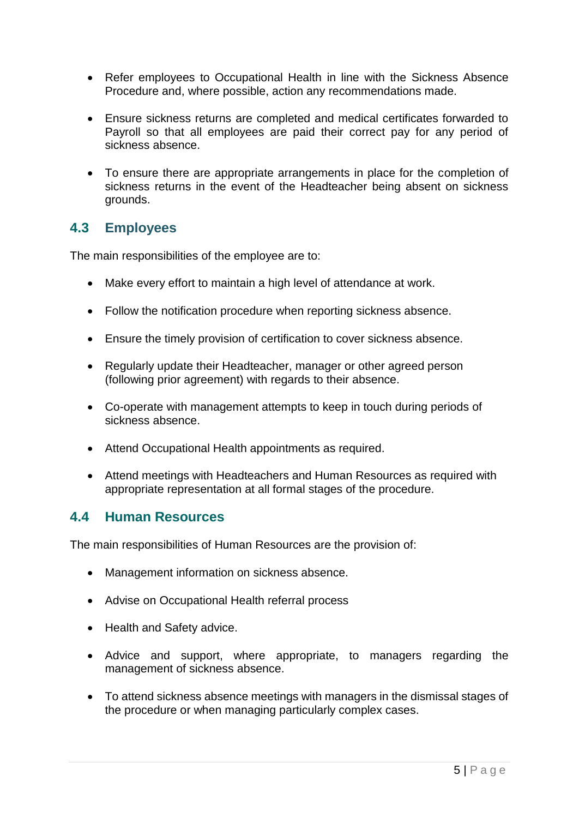- Refer employees to Occupational Health in line with the Sickness Absence Procedure and, where possible, action any recommendations made.
- Ensure sickness returns are completed and medical certificates forwarded to Payroll so that all employees are paid their correct pay for any period of sickness absence.
- To ensure there are appropriate arrangements in place for the completion of sickness returns in the event of the Headteacher being absent on sickness grounds.

### <span id="page-5-0"></span>**4.3 Employees**

The main responsibilities of the employee are to:

- Make every effort to maintain a high level of attendance at work.
- Follow the notification procedure when reporting sickness absence.
- Ensure the timely provision of certification to cover sickness absence.
- Regularly update their Headteacher, manager or other agreed person (following prior agreement) with regards to their absence.
- Co-operate with management attempts to keep in touch during periods of sickness absence.
- Attend Occupational Health appointments as required.
- Attend meetings with Headteachers and Human Resources as required with appropriate representation at all formal stages of the procedure.

### <span id="page-5-1"></span>**4.4 Human Resources**

The main responsibilities of Human Resources are the provision of:

- Management information on sickness absence.
- Advise on Occupational Health referral process
- Health and Safety advice.
- Advice and support, where appropriate, to managers regarding the management of sickness absence.
- To attend sickness absence meetings with managers in the dismissal stages of the procedure or when managing particularly complex cases.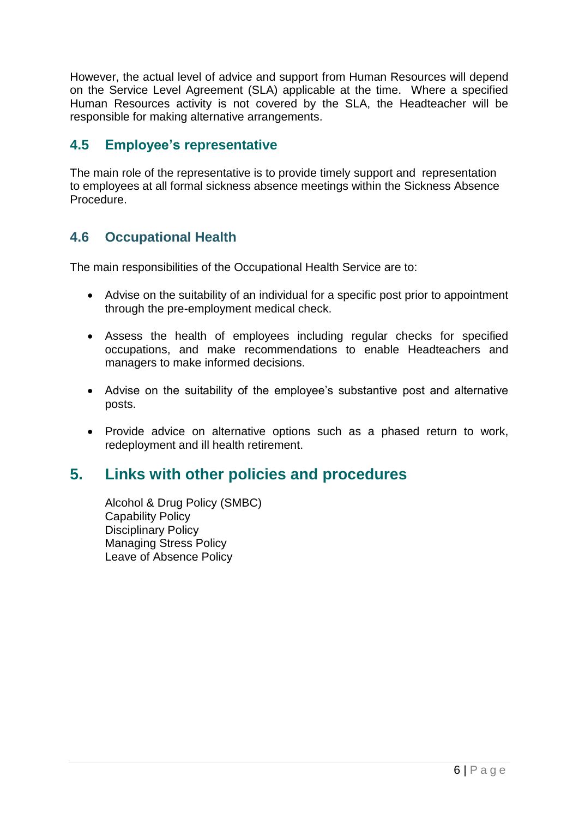However, the actual level of advice and support from Human Resources will depend on the Service Level Agreement (SLA) applicable at the time. Where a specified Human Resources activity is not covered by the SLA, the Headteacher will be responsible for making alternative arrangements.

### <span id="page-6-0"></span>**4.5 Employee's representative**

The main role of the representative is to provide timely support and representation to employees at all formal sickness absence meetings within the Sickness Absence Procedure.

### **4.6 Occupational Health**

The main responsibilities of the Occupational Health Service are to:

- Advise on the suitability of an individual for a specific post prior to appointment through the pre-employment medical check.
- Assess the health of employees including regular checks for specified occupations, and make recommendations to enable Headteachers and managers to make informed decisions.
- Advise on the suitability of the employee's substantive post and alternative posts.
- Provide advice on alternative options such as a phased return to work, redeployment and ill health retirement.

# <span id="page-6-1"></span>**5. Links with other policies and procedures**

Alcohol & Drug Policy (SMBC) Capability Policy Disciplinary Policy Managing Stress Policy Leave of Absence Policy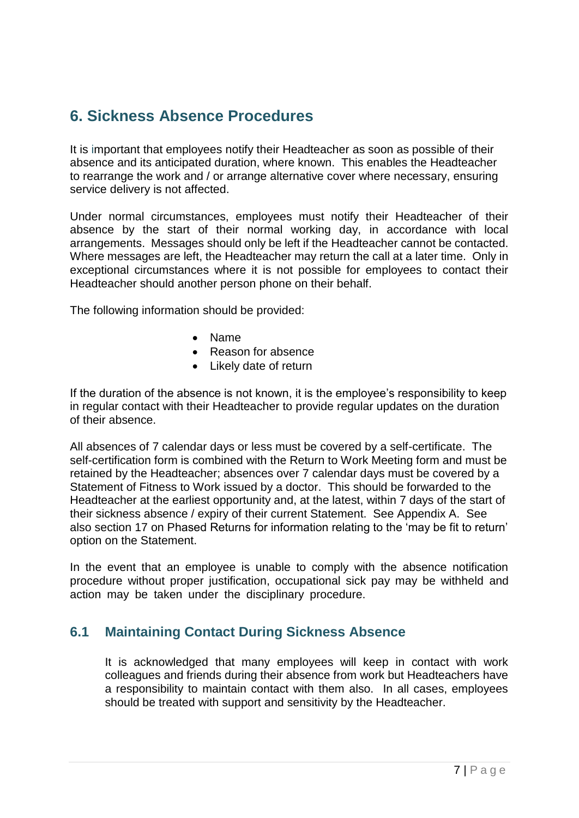# <span id="page-7-0"></span>**6. Sickness Absence Procedures**

It is important that employees notify their Headteacher as soon as possible of their absence and its anticipated duration, where known. This enables the Headteacher to rearrange the work and / or arrange alternative cover where necessary, ensuring service delivery is not affected.

Under normal circumstances, employees must notify their Headteacher of their absence by the start of their normal working day, in accordance with local arrangements. Messages should only be left if the Headteacher cannot be contacted. Where messages are left, the Headteacher may return the call at a later time. Only in exceptional circumstances where it is not possible for employees to contact their Headteacher should another person phone on their behalf.

The following information should be provided:

- Name
- Reason for absence
- Likely date of return

If the duration of the absence is not known, it is the employee's responsibility to keep in regular contact with their Headteacher to provide regular updates on the duration of their absence.

All absences of 7 calendar days or less must be covered by a self-certificate. The self-certification form is combined with the Return to Work Meeting form and must be retained by the Headteacher; absences over 7 calendar days must be covered by a Statement of Fitness to Work issued by a doctor. This should be forwarded to the Headteacher at the earliest opportunity and, at the latest, within 7 days of the start of their sickness absence / expiry of their current Statement. See Appendix A. See also section 17 on Phased Returns for information relating to the 'may be fit to return' option on the Statement.

In the event that an employee is unable to comply with the absence notification procedure without proper justification, occupational sick pay may be withheld and action may be taken under the disciplinary procedure.

### <span id="page-7-1"></span>**6.1 Maintaining Contact During Sickness Absence**

It is acknowledged that many employees will keep in contact with work colleagues and friends during their absence from work but Headteachers have a responsibility to maintain contact with them also. In all cases, employees should be treated with support and sensitivity by the Headteacher.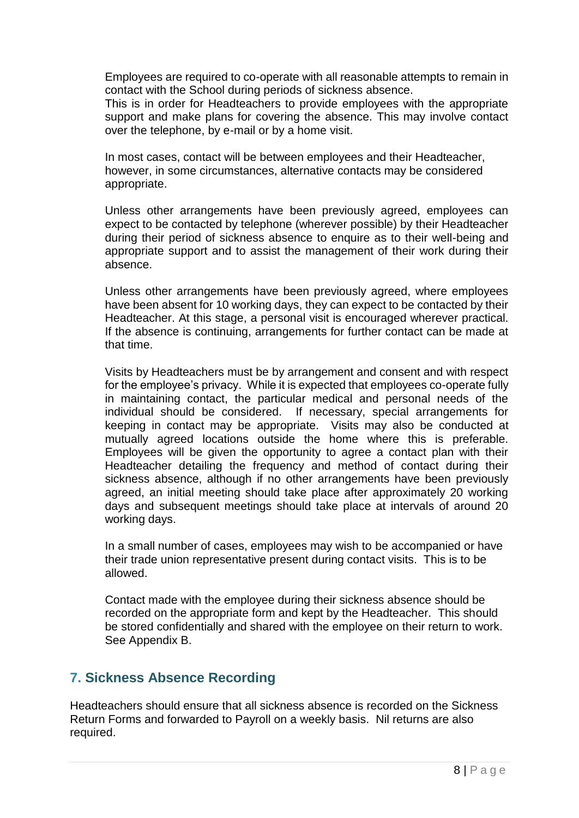Employees are required to co-operate with all reasonable attempts to remain in contact with the School during periods of sickness absence.

This is in order for Headteachers to provide employees with the appropriate support and make plans for covering the absence. This may involve contact over the telephone, by e-mail or by a home visit.

In most cases, contact will be between employees and their Headteacher, however, in some circumstances, alternative contacts may be considered appropriate.

Unless other arrangements have been previously agreed, employees can expect to be contacted by telephone (wherever possible) by their Headteacher during their period of sickness absence to enquire as to their well-being and appropriate support and to assist the management of their work during their absence.

Unless other arrangements have been previously agreed, where employees have been absent for 10 working days, they can expect to be contacted by their Headteacher. At this stage, a personal visit is encouraged wherever practical. If the absence is continuing, arrangements for further contact can be made at that time.

Visits by Headteachers must be by arrangement and consent and with respect for the employee's privacy. While it is expected that employees co-operate fully in maintaining contact, the particular medical and personal needs of the individual should be considered. If necessary, special arrangements for keeping in contact may be appropriate. Visits may also be conducted at mutually agreed locations outside the home where this is preferable. Employees will be given the opportunity to agree a contact plan with their Headteacher detailing the frequency and method of contact during their sickness absence, although if no other arrangements have been previously agreed, an initial meeting should take place after approximately 20 working days and subsequent meetings should take place at intervals of around 20 working days.

In a small number of cases, employees may wish to be accompanied or have their trade union representative present during contact visits. This is to be allowed.

Contact made with the employee during their sickness absence should be recorded on the appropriate form and kept by the Headteacher. This should be stored confidentially and shared with the employee on their return to work. See Appendix B.

### <span id="page-8-0"></span>**7. Sickness Absence Recording**

Headteachers should ensure that all sickness absence is recorded on the Sickness Return Forms and forwarded to Payroll on a weekly basis. Nil returns are also required.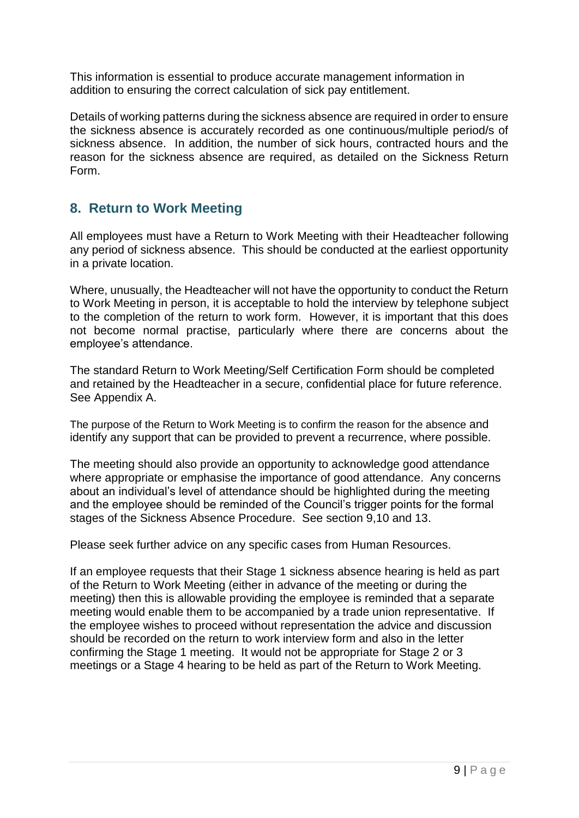This information is essential to produce accurate management information in addition to ensuring the correct calculation of sick pay entitlement.

<span id="page-9-0"></span>Details of working patterns during the sickness absence are required in order to ensure the sickness absence is accurately recorded as one continuous/multiple period/s of sickness absence. In addition, the number of sick hours, contracted hours and the reason for the sickness absence are required, as detailed on the Sickness Return Form.

### **8. Return to Work Meeting**

All employees must have a Return to Work Meeting with their Headteacher following any period of sickness absence. This should be conducted at the earliest opportunity in a private location.

Where, unusually, the Headteacher will not have the opportunity to conduct the Return to Work Meeting in person, it is acceptable to hold the interview by telephone subject to the completion of the return to work form. However, it is important that this does not become normal practise, particularly where there are concerns about the employee's attendance.

The standard Return to Work Meeting/Self Certification Form should be completed and retained by the Headteacher in a secure, confidential place for future reference. See Appendix A.

The purpose of the Return to Work Meeting is to confirm the reason for the absence and identify any support that can be provided to prevent a recurrence, where possible.

The meeting should also provide an opportunity to acknowledge good attendance where appropriate or emphasise the importance of good attendance. Any concerns about an individual's level of attendance should be highlighted during the meeting and the employee should be reminded of the Council's trigger points for the formal stages of the Sickness Absence Procedure. See section 9,10 and 13.

Please seek further advice on any specific cases from Human Resources.

If an employee requests that their Stage 1 sickness absence hearing is held as part of the Return to Work Meeting (either in advance of the meeting or during the meeting) then this is allowable providing the employee is reminded that a separate meeting would enable them to be accompanied by a trade union representative. If the employee wishes to proceed without representation the advice and discussion should be recorded on the return to work interview form and also in the letter confirming the Stage 1 meeting. It would not be appropriate for Stage 2 or 3 meetings or a Stage 4 hearing to be held as part of the Return to Work Meeting.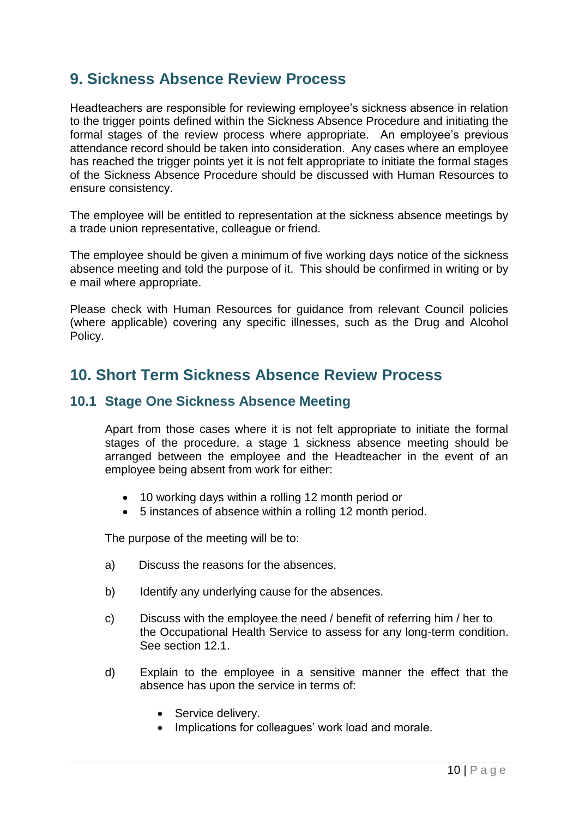# <span id="page-10-0"></span>**9. Sickness Absence Review Process**

Headteachers are responsible for reviewing employee's sickness absence in relation to the trigger points defined within the Sickness Absence Procedure and initiating the formal stages of the review process where appropriate. An employee's previous attendance record should be taken into consideration. Any cases where an employee has reached the trigger points yet it is not felt appropriate to initiate the formal stages of the Sickness Absence Procedure should be discussed with Human Resources to ensure consistency.

The employee will be entitled to representation at the sickness absence meetings by a trade union representative, colleague or friend.

The employee should be given a minimum of five working days notice of the sickness absence meeting and told the purpose of it. This should be confirmed in writing or by e mail where appropriate.

<span id="page-10-1"></span>Please check with Human Resources for guidance from relevant Council policies (where applicable) covering any specific illnesses, such as the Drug and Alcohol Policy.

# **10. Short Term Sickness Absence Review Process**

### <span id="page-10-2"></span>**10.1 Stage One Sickness Absence Meeting**

Apart from those cases where it is not felt appropriate to initiate the formal stages of the procedure, a stage 1 sickness absence meeting should be arranged between the employee and the Headteacher in the event of an employee being absent from work for either:

- 10 working days within a rolling 12 month period or
- 5 instances of absence within a rolling 12 month period.

The purpose of the meeting will be to:

- a) Discuss the reasons for the absences.
- b) Identify any underlying cause for the absences.
- c) Discuss with the employee the need / benefit of referring him / her to the Occupational Health Service to assess for any long-term condition. See section 12.1.
- d) Explain to the employee in a sensitive manner the effect that the absence has upon the service in terms of:
	- Service delivery.
	- Implications for colleagues' work load and morale.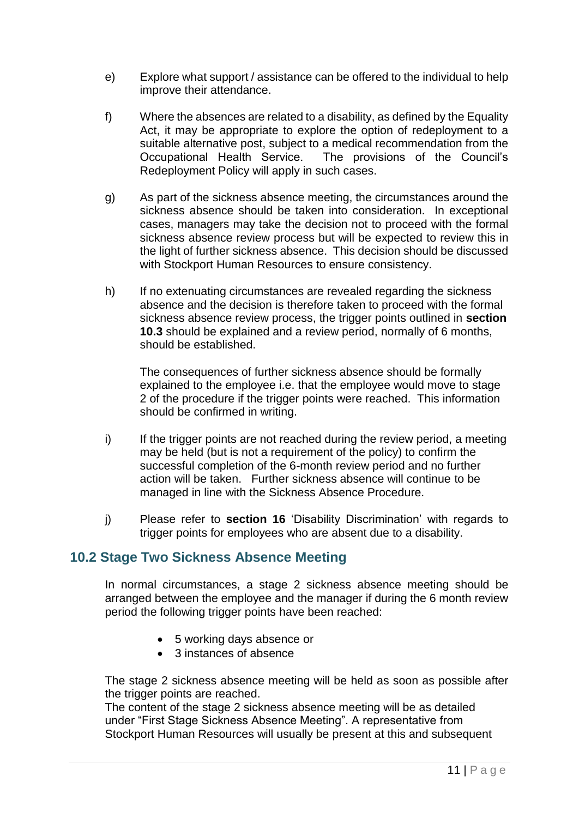- e) Explore what support / assistance can be offered to the individual to help improve their attendance.
- f) Where the absences are related to a disability, as defined by the Equality Act, it may be appropriate to explore the option of redeployment to a suitable alternative post, subject to a medical recommendation from the Occupational Health Service. The provisions of the Council's The provisions of the Council's Redeployment Policy will apply in such cases.
- g) As part of the sickness absence meeting, the circumstances around the sickness absence should be taken into consideration. In exceptional cases, managers may take the decision not to proceed with the formal sickness absence review process but will be expected to review this in the light of further sickness absence. This decision should be discussed with Stockport Human Resources to ensure consistency.
- h) If no extenuating circumstances are revealed regarding the sickness absence and the decision is therefore taken to proceed with the formal sickness absence review process, the trigger points outlined in **section 10.3** should be explained and a review period, normally of 6 months, should be established.

The consequences of further sickness absence should be formally explained to the employee i.e. that the employee would move to stage 2 of the procedure if the trigger points were reached. This information should be confirmed in writing.

- i) If the trigger points are not reached during the review period, a meeting may be held (but is not a requirement of the policy) to confirm the successful completion of the 6-month review period and no further action will be taken. Further sickness absence will continue to be managed in line with the Sickness Absence Procedure.
- j) Please refer to **section 16** 'Disability Discrimination' with regards to trigger points for employees who are absent due to a disability.

### <span id="page-11-0"></span>**10.2 Stage Two Sickness Absence Meeting**

In normal circumstances, a stage 2 sickness absence meeting should be arranged between the employee and the manager if during the 6 month review period the following trigger points have been reached:

- 5 working days absence or
- 3 instances of absence

The stage 2 sickness absence meeting will be held as soon as possible after the trigger points are reached.

The content of the stage 2 sickness absence meeting will be as detailed under "First Stage Sickness Absence Meeting". A representative from Stockport Human Resources will usually be present at this and subsequent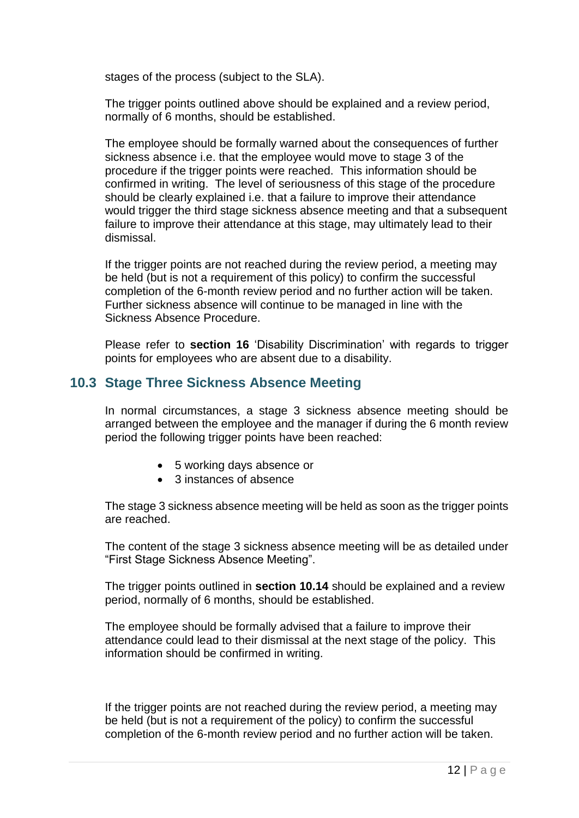stages of the process (subject to the SLA).

The trigger points outlined above should be explained and a review period, normally of 6 months, should be established.

The employee should be formally warned about the consequences of further sickness absence i.e. that the employee would move to stage 3 of the procedure if the trigger points were reached. This information should be confirmed in writing. The level of seriousness of this stage of the procedure should be clearly explained i.e. that a failure to improve their attendance would trigger the third stage sickness absence meeting and that a subsequent failure to improve their attendance at this stage, may ultimately lead to their dismissal.

If the trigger points are not reached during the review period, a meeting may be held (but is not a requirement of this policy) to confirm the successful completion of the 6-month review period and no further action will be taken. Further sickness absence will continue to be managed in line with the Sickness Absence Procedure.

Please refer to **section 16** 'Disability Discrimination' with regards to trigger points for employees who are absent due to a disability.

### <span id="page-12-0"></span>**10.3 Stage Three Sickness Absence Meeting**

In normal circumstances, a stage 3 sickness absence meeting should be arranged between the employee and the manager if during the 6 month review period the following trigger points have been reached:

- 5 working days absence or
- 3 instances of absence

The stage 3 sickness absence meeting will be held as soon as the trigger points are reached.

The content of the stage 3 sickness absence meeting will be as detailed under "First Stage Sickness Absence Meeting".

The trigger points outlined in **section 10.14** should be explained and a review period, normally of 6 months, should be established.

The employee should be formally advised that a failure to improve their attendance could lead to their dismissal at the next stage of the policy. This information should be confirmed in writing.

If the trigger points are not reached during the review period, a meeting may be held (but is not a requirement of the policy) to confirm the successful completion of the 6-month review period and no further action will be taken.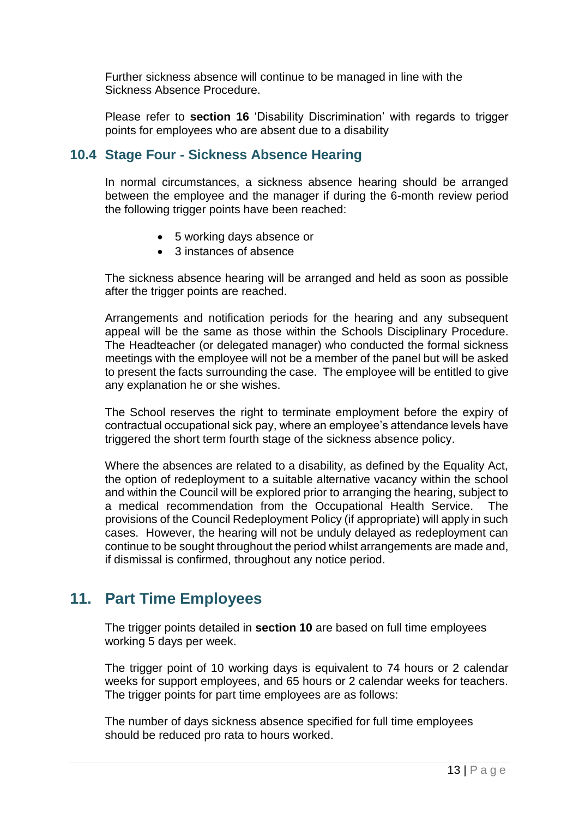Further sickness absence will continue to be managed in line with the Sickness Absence Procedure.

Please refer to **section 16** 'Disability Discrimination' with regards to trigger points for employees who are absent due to a disability

### <span id="page-13-0"></span>**10.4 Stage Four - Sickness Absence Hearing**

In normal circumstances, a sickness absence hearing should be arranged between the employee and the manager if during the 6-month review period the following trigger points have been reached:

- 5 working days absence or
- 3 instances of absence

The sickness absence hearing will be arranged and held as soon as possible after the trigger points are reached.

Arrangements and notification periods for the hearing and any subsequent appeal will be the same as those within the Schools Disciplinary Procedure. The Headteacher (or delegated manager) who conducted the formal sickness meetings with the employee will not be a member of the panel but will be asked to present the facts surrounding the case. The employee will be entitled to give any explanation he or she wishes.

The School reserves the right to terminate employment before the expiry of contractual occupational sick pay, where an employee's attendance levels have triggered the short term fourth stage of the sickness absence policy.

Where the absences are related to a disability, as defined by the Equality Act, the option of redeployment to a suitable alternative vacancy within the school and within the Council will be explored prior to arranging the hearing, subject to a medical recommendation from the Occupational Health Service. The provisions of the Council Redeployment Policy (if appropriate) will apply in such cases. However, the hearing will not be unduly delayed as redeployment can continue to be sought throughout the period whilst arrangements are made and, if dismissal is confirmed, throughout any notice period.

# <span id="page-13-1"></span>**11. Part Time Employees**

The trigger points detailed in **section 10** are based on full time employees working 5 days per week.

The trigger point of 10 working days is equivalent to 74 hours or 2 calendar weeks for support employees, and 65 hours or 2 calendar weeks for teachers. The trigger points for part time employees are as follows:

The number of days sickness absence specified for full time employees should be reduced pro rata to hours worked.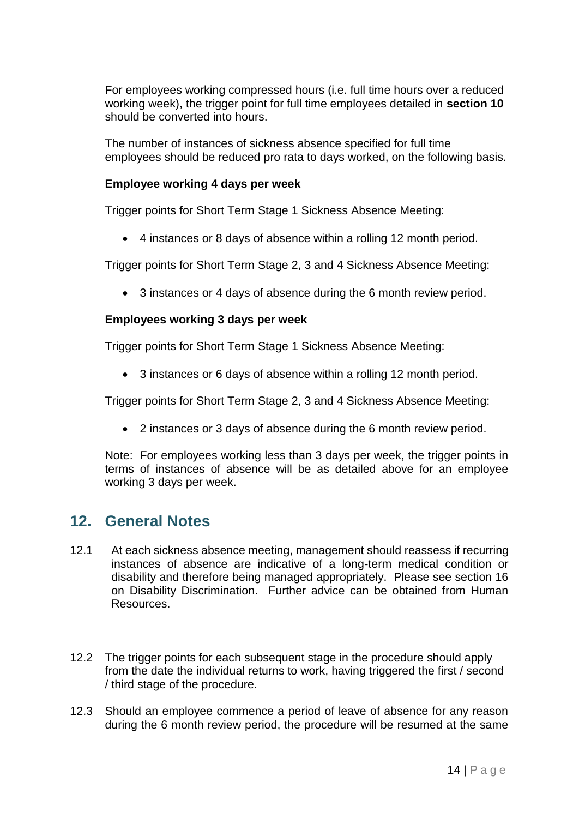For employees working compressed hours (i.e. full time hours over a reduced working week), the trigger point for full time employees detailed in **section 10** should be converted into hours.

The number of instances of sickness absence specified for full time employees should be reduced pro rata to days worked, on the following basis.

### **Employee working 4 days per week**

Trigger points for Short Term Stage 1 Sickness Absence Meeting:

4 instances or 8 days of absence within a rolling 12 month period.

Trigger points for Short Term Stage 2, 3 and 4 Sickness Absence Meeting:

3 instances or 4 days of absence during the 6 month review period.

### **Employees working 3 days per week**

Trigger points for Short Term Stage 1 Sickness Absence Meeting:

3 instances or 6 days of absence within a rolling 12 month period.

Trigger points for Short Term Stage 2, 3 and 4 Sickness Absence Meeting:

<span id="page-14-0"></span>2 instances or 3 days of absence during the 6 month review period.

Note: For employees working less than 3 days per week, the trigger points in terms of instances of absence will be as detailed above for an employee working 3 days per week.

# **12. General Notes**

- 12.1 At each sickness absence meeting, management should reassess if recurring instances of absence are indicative of a long-term medical condition or disability and therefore being managed appropriately. Please see section 16 on Disability Discrimination. Further advice can be obtained from Human Resources.
- 12.2 The trigger points for each subsequent stage in the procedure should apply from the date the individual returns to work, having triggered the first / second / third stage of the procedure.
- 12.3 Should an employee commence a period of leave of absence for any reason during the 6 month review period, the procedure will be resumed at the same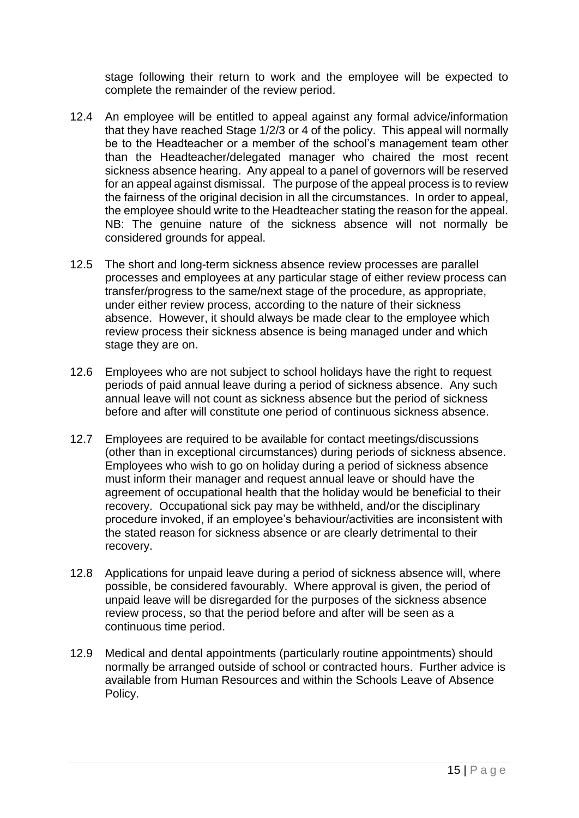stage following their return to work and the employee will be expected to complete the remainder of the review period.

- 12.4 An employee will be entitled to appeal against any formal advice/information that they have reached Stage 1/2/3 or 4 of the policy. This appeal will normally be to the Headteacher or a member of the school's management team other than the Headteacher/delegated manager who chaired the most recent sickness absence hearing. Any appeal to a panel of governors will be reserved for an appeal against dismissal. The purpose of the appeal process is to review the fairness of the original decision in all the circumstances. In order to appeal, the employee should write to the Headteacher stating the reason for the appeal. NB: The genuine nature of the sickness absence will not normally be considered grounds for appeal.
- 12.5 The short and long-term sickness absence review processes are parallel processes and employees at any particular stage of either review process can transfer/progress to the same/next stage of the procedure, as appropriate, under either review process, according to the nature of their sickness absence. However, it should always be made clear to the employee which review process their sickness absence is being managed under and which stage they are on.
- 12.6 Employees who are not subject to school holidays have the right to request periods of paid annual leave during a period of sickness absence. Any such annual leave will not count as sickness absence but the period of sickness before and after will constitute one period of continuous sickness absence.
- 12.7 Employees are required to be available for contact meetings/discussions (other than in exceptional circumstances) during periods of sickness absence. Employees who wish to go on holiday during a period of sickness absence must inform their manager and request annual leave or should have the agreement of occupational health that the holiday would be beneficial to their recovery. Occupational sick pay may be withheld, and/or the disciplinary procedure invoked, if an employee's behaviour/activities are inconsistent with the stated reason for sickness absence or are clearly detrimental to their recovery.
- 12.8 Applications for unpaid leave during a period of sickness absence will, where possible, be considered favourably. Where approval is given, the period of unpaid leave will be disregarded for the purposes of the sickness absence review process, so that the period before and after will be seen as a continuous time period.
- 12.9 Medical and dental appointments (particularly routine appointments) should normally be arranged outside of school or contracted hours. Further advice is available from Human Resources and within the Schools Leave of Absence Policy.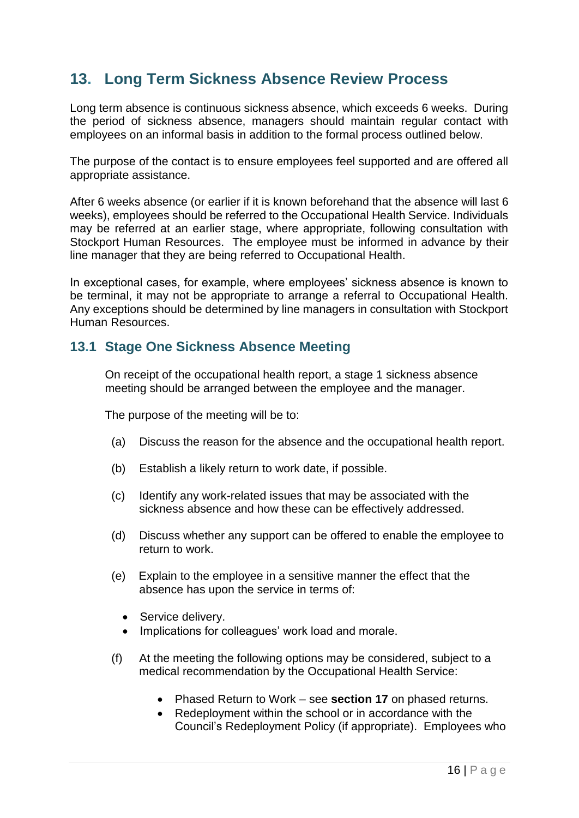# <span id="page-16-0"></span>**13. Long Term Sickness Absence Review Process**

Long term absence is continuous sickness absence, which exceeds 6 weeks. During the period of sickness absence, managers should maintain regular contact with employees on an informal basis in addition to the formal process outlined below.

The purpose of the contact is to ensure employees feel supported and are offered all appropriate assistance.

After 6 weeks absence (or earlier if it is known beforehand that the absence will last 6 weeks), employees should be referred to the Occupational Health Service. Individuals may be referred at an earlier stage, where appropriate, following consultation with Stockport Human Resources. The employee must be informed in advance by their line manager that they are being referred to Occupational Health.

In exceptional cases, for example, where employees' sickness absence is known to be terminal, it may not be appropriate to arrange a referral to Occupational Health. Any exceptions should be determined by line managers in consultation with Stockport Human Resources.

### <span id="page-16-1"></span>**13.1 Stage One Sickness Absence Meeting**

On receipt of the occupational health report, a stage 1 sickness absence meeting should be arranged between the employee and the manager.

The purpose of the meeting will be to:

- (a) Discuss the reason for the absence and the occupational health report.
- (b) Establish a likely return to work date, if possible.
- (c) Identify any work-related issues that may be associated with the sickness absence and how these can be effectively addressed.
- (d) Discuss whether any support can be offered to enable the employee to return to work.
- (e) Explain to the employee in a sensitive manner the effect that the absence has upon the service in terms of:
	- Service delivery.
	- Implications for colleagues' work load and morale.
- (f) At the meeting the following options may be considered, subject to a medical recommendation by the Occupational Health Service:
	- Phased Return to Work see **section 17** on phased returns.
	- Redeployment within the school or in accordance with the Council's Redeployment Policy (if appropriate). Employees who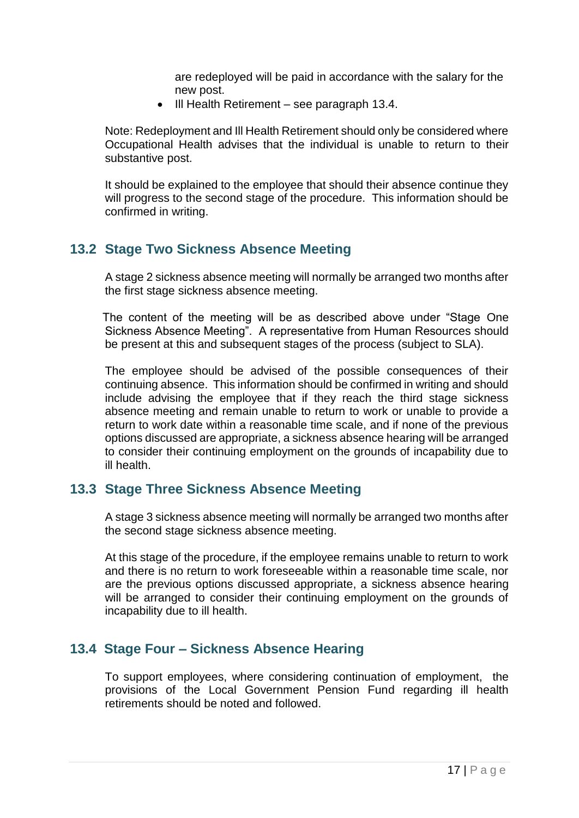are redeployed will be paid in accordance with the salary for the new post.

• III Health Retirement – see paragraph 13.4.

Note: Redeployment and Ill Health Retirement should only be considered where Occupational Health advises that the individual is unable to return to their substantive post.

It should be explained to the employee that should their absence continue they will progress to the second stage of the procedure. This information should be confirmed in writing.

# <span id="page-17-0"></span>**13.2 Stage Two Sickness Absence Meeting**

 A stage 2 sickness absence meeting will normally be arranged two months after the first stage sickness absence meeting.

The content of the meeting will be as described above under "Stage One Sickness Absence Meeting". A representative from Human Resources should be present at this and subsequent stages of the process (subject to SLA).

The employee should be advised of the possible consequences of their continuing absence. This information should be confirmed in writing and should include advising the employee that if they reach the third stage sickness absence meeting and remain unable to return to work or unable to provide a return to work date within a reasonable time scale, and if none of the previous options discussed are appropriate, a sickness absence hearing will be arranged to consider their continuing employment on the grounds of incapability due to ill health.

### <span id="page-17-1"></span>**13.3 Stage Three Sickness Absence Meeting**

A stage 3 sickness absence meeting will normally be arranged two months after the second stage sickness absence meeting.

At this stage of the procedure, if the employee remains unable to return to work and there is no return to work foreseeable within a reasonable time scale, nor are the previous options discussed appropriate, a sickness absence hearing will be arranged to consider their continuing employment on the grounds of incapability due to ill health.

### <span id="page-17-2"></span>**13.4 Stage Four – Sickness Absence Hearing**

To support employees, where considering continuation of employment, the provisions of the Local Government Pension Fund regarding ill health retirements should be noted and followed.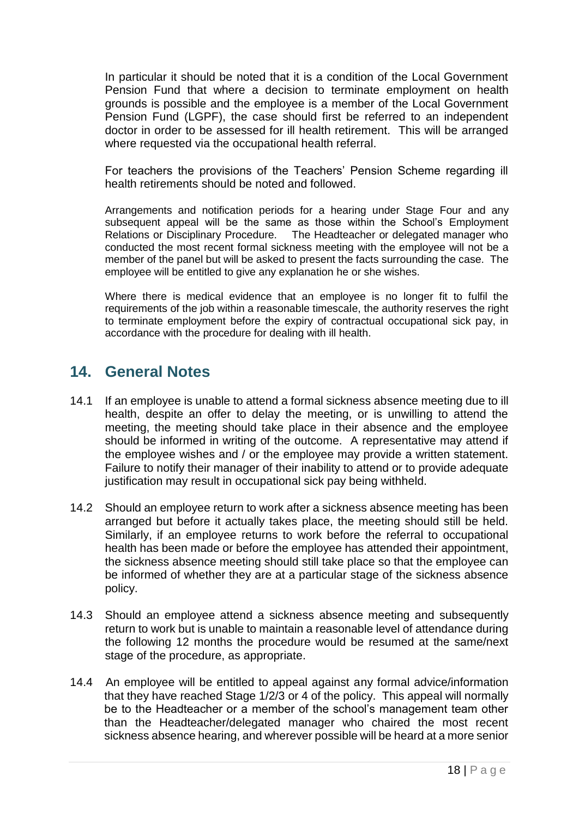In particular it should be noted that it is a condition of the Local Government Pension Fund that where a decision to terminate employment on health grounds is possible and the employee is a member of the Local Government Pension Fund (LGPF), the case should first be referred to an independent doctor in order to be assessed for ill health retirement. This will be arranged where requested via the occupational health referral.

For teachers the provisions of the Teachers' Pension Scheme regarding ill health retirements should be noted and followed.

Arrangements and notification periods for a hearing under Stage Four and any subsequent appeal will be the same as those within the School's Employment Relations or Disciplinary Procedure. The Headteacher or delegated manager who conducted the most recent formal sickness meeting with the employee will not be a member of the panel but will be asked to present the facts surrounding the case. The employee will be entitled to give any explanation he or she wishes.

<span id="page-18-0"></span>Where there is medical evidence that an employee is no longer fit to fulfil the requirements of the job within a reasonable timescale, the authority reserves the right to terminate employment before the expiry of contractual occupational sick pay, in accordance with the procedure for dealing with ill health.

# **14. General Notes**

- 14.1 If an employee is unable to attend a formal sickness absence meeting due to ill health, despite an offer to delay the meeting, or is unwilling to attend the meeting, the meeting should take place in their absence and the employee should be informed in writing of the outcome. A representative may attend if the employee wishes and / or the employee may provide a written statement. Failure to notify their manager of their inability to attend or to provide adequate justification may result in occupational sick pay being withheld.
- 14.2 Should an employee return to work after a sickness absence meeting has been arranged but before it actually takes place, the meeting should still be held. Similarly, if an employee returns to work before the referral to occupational health has been made or before the employee has attended their appointment, the sickness absence meeting should still take place so that the employee can be informed of whether they are at a particular stage of the sickness absence policy.
- 14.3 Should an employee attend a sickness absence meeting and subsequently return to work but is unable to maintain a reasonable level of attendance during the following 12 months the procedure would be resumed at the same/next stage of the procedure, as appropriate.
- 14.4 An employee will be entitled to appeal against any formal advice/information that they have reached Stage 1/2/3 or 4 of the policy. This appeal will normally be to the Headteacher or a member of the school's management team other than the Headteacher/delegated manager who chaired the most recent sickness absence hearing, and wherever possible will be heard at a more senior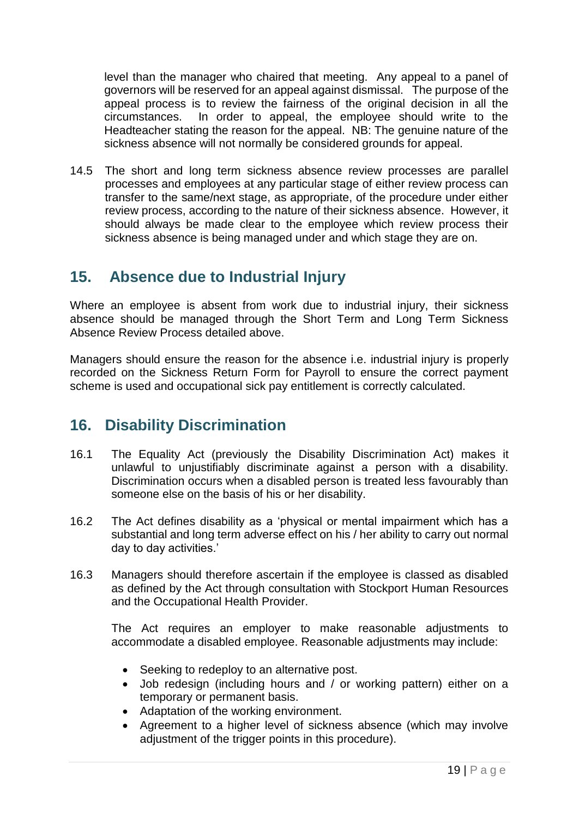level than the manager who chaired that meeting. Any appeal to a panel of governors will be reserved for an appeal against dismissal. The purpose of the appeal process is to review the fairness of the original decision in all the circumstances. In order to appeal, the employee should write to the Headteacher stating the reason for the appeal. NB: The genuine nature of the sickness absence will not normally be considered grounds for appeal.

14.5 The short and long term sickness absence review processes are parallel processes and employees at any particular stage of either review process can transfer to the same/next stage, as appropriate, of the procedure under either review process, according to the nature of their sickness absence. However, it should always be made clear to the employee which review process their sickness absence is being managed under and which stage they are on.

# <span id="page-19-0"></span>**15. Absence due to Industrial Injury**

Where an employee is absent from work due to industrial injury, their sickness absence should be managed through the Short Term and Long Term Sickness Absence Review Process detailed above.

Managers should ensure the reason for the absence i.e. industrial injury is properly recorded on the Sickness Return Form for Payroll to ensure the correct payment scheme is used and occupational sick pay entitlement is correctly calculated.

# <span id="page-19-1"></span>**16. Disability Discrimination**

- 16.1 The Equality Act (previously the Disability Discrimination Act) makes it unlawful to unjustifiably discriminate against a person with a disability. Discrimination occurs when a disabled person is treated less favourably than someone else on the basis of his or her disability.
- 16.2 The Act defines disability as a 'physical or mental impairment which has a substantial and long term adverse effect on his / her ability to carry out normal day to day activities.'
- 16.3 Managers should therefore ascertain if the employee is classed as disabled as defined by the Act through consultation with Stockport Human Resources and the Occupational Health Provider.

The Act requires an employer to make reasonable adjustments to accommodate a disabled employee. Reasonable adjustments may include:

- Seeking to redeploy to an alternative post.
- Job redesign (including hours and / or working pattern) either on a temporary or permanent basis.
- Adaptation of the working environment.
- Agreement to a higher level of sickness absence (which may involve adjustment of the trigger points in this procedure).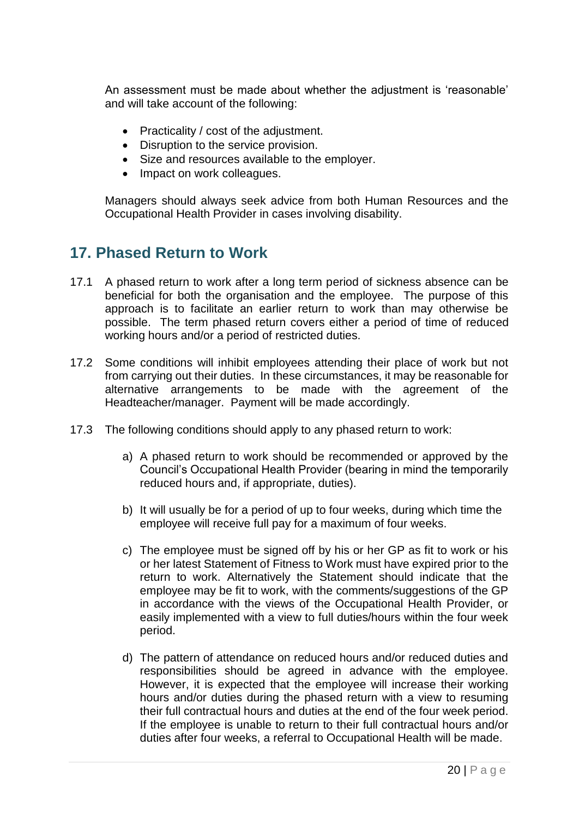An assessment must be made about whether the adjustment is 'reasonable' and will take account of the following:

- Practicality / cost of the adjustment.
- Disruption to the service provision.
- Size and resources available to the employer.
- Impact on work colleagues.

Managers should always seek advice from both Human Resources and the Occupational Health Provider in cases involving disability.

# <span id="page-20-0"></span>**17. Phased Return to Work**

- 17.1 A phased return to work after a long term period of sickness absence can be beneficial for both the organisation and the employee. The purpose of this approach is to facilitate an earlier return to work than may otherwise be possible. The term phased return covers either a period of time of reduced working hours and/or a period of restricted duties.
- 17.2 Some conditions will inhibit employees attending their place of work but not from carrying out their duties. In these circumstances, it may be reasonable for alternative arrangements to be made with the agreement of the Headteacher/manager. Payment will be made accordingly.
- 17.3 The following conditions should apply to any phased return to work:
	- a) A phased return to work should be recommended or approved by the Council's Occupational Health Provider (bearing in mind the temporarily reduced hours and, if appropriate, duties).
	- b) It will usually be for a period of up to four weeks, during which time the employee will receive full pay for a maximum of four weeks.
	- c) The employee must be signed off by his or her GP as fit to work or his or her latest Statement of Fitness to Work must have expired prior to the return to work. Alternatively the Statement should indicate that the employee may be fit to work, with the comments/suggestions of the GP in accordance with the views of the Occupational Health Provider, or easily implemented with a view to full duties/hours within the four week period.
	- d) The pattern of attendance on reduced hours and/or reduced duties and responsibilities should be agreed in advance with the employee. However, it is expected that the employee will increase their working hours and/or duties during the phased return with a view to resuming their full contractual hours and duties at the end of the four week period. If the employee is unable to return to their full contractual hours and/or duties after four weeks, a referral to Occupational Health will be made.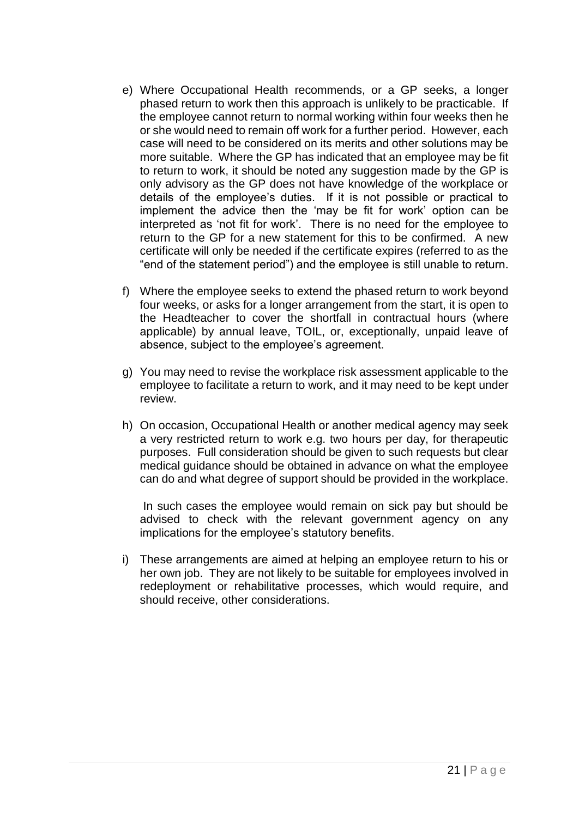- e) Where Occupational Health recommends, or a GP seeks, a longer phased return to work then this approach is unlikely to be practicable. If the employee cannot return to normal working within four weeks then he or she would need to remain off work for a further period. However, each case will need to be considered on its merits and other solutions may be more suitable. Where the GP has indicated that an employee may be fit to return to work, it should be noted any suggestion made by the GP is only advisory as the GP does not have knowledge of the workplace or details of the employee's duties. If it is not possible or practical to implement the advice then the 'may be fit for work' option can be interpreted as 'not fit for work'. There is no need for the employee to return to the GP for a new statement for this to be confirmed. A new certificate will only be needed if the certificate expires (referred to as the "end of the statement period") and the employee is still unable to return.
- f) Where the employee seeks to extend the phased return to work beyond four weeks, or asks for a longer arrangement from the start, it is open to the Headteacher to cover the shortfall in contractual hours (where applicable) by annual leave, TOIL, or, exceptionally, unpaid leave of absence, subject to the employee's agreement.
- g) You may need to revise the workplace risk assessment applicable to the employee to facilitate a return to work, and it may need to be kept under review.
- h) On occasion, Occupational Health or another medical agency may seek a very restricted return to work e.g. two hours per day, for therapeutic purposes. Full consideration should be given to such requests but clear medical guidance should be obtained in advance on what the employee can do and what degree of support should be provided in the workplace.

In such cases the employee would remain on sick pay but should be advised to check with the relevant government agency on any implications for the employee's statutory benefits.

i) These arrangements are aimed at helping an employee return to his or her own job. They are not likely to be suitable for employees involved in redeployment or rehabilitative processes, which would require, and should receive, other considerations.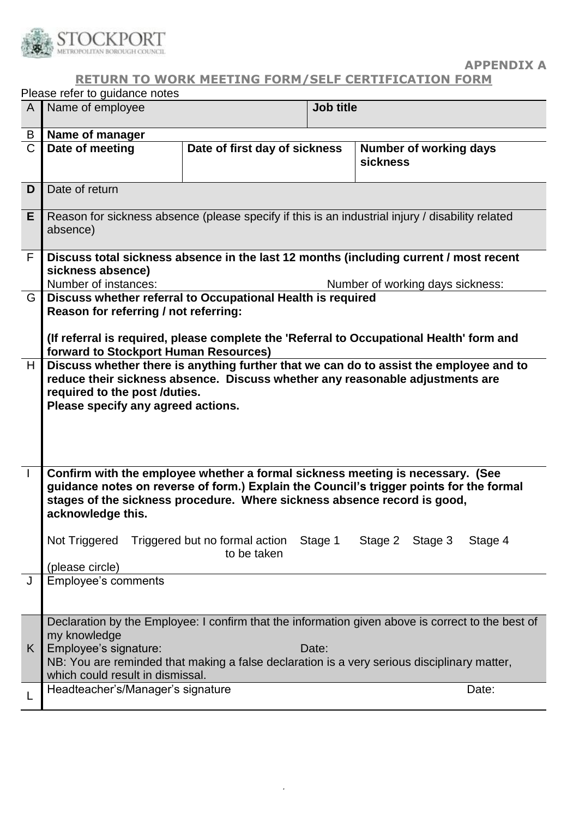

### **APPENDIX A**

### **RETURN TO WORK MEETING FORM/SELF CERTIFICATION FORM**

|              | Please refer to guidance notes                                                                                                                                                                                                                                             |                               |                  |                                           |         |  |
|--------------|----------------------------------------------------------------------------------------------------------------------------------------------------------------------------------------------------------------------------------------------------------------------------|-------------------------------|------------------|-------------------------------------------|---------|--|
| A            | Name of employee                                                                                                                                                                                                                                                           |                               | <b>Job title</b> |                                           |         |  |
| B            | Name of manager                                                                                                                                                                                                                                                            |                               |                  |                                           |         |  |
| $\mathsf{C}$ | Date of meeting                                                                                                                                                                                                                                                            | Date of first day of sickness |                  | Number of working days<br><b>sickness</b> |         |  |
| D            | Date of return                                                                                                                                                                                                                                                             |                               |                  |                                           |         |  |
| E.           | Reason for sickness absence (please specify if this is an industrial injury / disability related<br>absence)                                                                                                                                                               |                               |                  |                                           |         |  |
| F            | Discuss total sickness absence in the last 12 months (including current / most recent<br>sickness absence)<br>Number of instances:<br>Number of working days sickness:                                                                                                     |                               |                  |                                           |         |  |
|              |                                                                                                                                                                                                                                                                            |                               |                  |                                           |         |  |
| G            | Discuss whether referral to Occupational Health is required<br>Reason for referring / not referring:<br>(If referral is required, please complete the 'Referral to Occupational Health' form and                                                                           |                               |                  |                                           |         |  |
|              | forward to Stockport Human Resources)                                                                                                                                                                                                                                      |                               |                  |                                           |         |  |
| H            | Discuss whether there is anything further that we can do to assist the employee and to<br>reduce their sickness absence. Discuss whether any reasonable adjustments are<br>required to the post /duties.<br>Please specify any agreed actions.                             |                               |                  |                                           |         |  |
| $\perp$      | Confirm with the employee whether a formal sickness meeting is necessary. (See<br>guidance notes on reverse of form.) Explain the Council's trigger points for the formal<br>stages of the sickness procedure. Where sickness absence record is good,<br>acknowledge this. |                               |                  |                                           |         |  |
|              | Not Triggered Triggered but no formal action Stage 1<br>(please circle)                                                                                                                                                                                                    | to be taken                   |                  | Stage 2 Stage 3                           | Stage 4 |  |
|              | <b>Employee's comments</b>                                                                                                                                                                                                                                                 |                               |                  |                                           |         |  |
|              |                                                                                                                                                                                                                                                                            |                               |                  |                                           |         |  |
|              | Declaration by the Employee: I confirm that the information given above is correct to the best of<br>my knowledge                                                                                                                                                          |                               |                  |                                           |         |  |
| K.           | Employee's signature:<br>NB: You are reminded that making a false declaration is a very serious disciplinary matter,<br>which could result in dismissal.                                                                                                                   |                               | Date:            |                                           |         |  |
|              | Headteacher's/Manager's signature                                                                                                                                                                                                                                          |                               |                  |                                           | Date:   |  |
|              |                                                                                                                                                                                                                                                                            |                               |                  |                                           |         |  |

.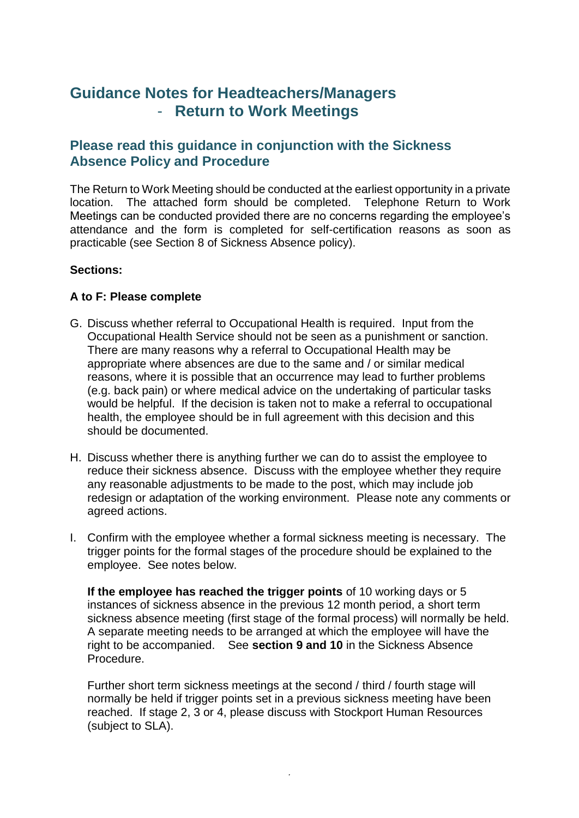# **Guidance Notes for Headteachers/Managers** - **Return to Work Meetings**

### **Please read this guidance in conjunction with the Sickness Absence Policy and Procedure**

The Return to Work Meeting should be conducted at the earliest opportunity in a private location. The attached form should be completed. Telephone Return to Work Meetings can be conducted provided there are no concerns regarding the employee's attendance and the form is completed for self-certification reasons as soon as practicable (see Section 8 of Sickness Absence policy).

### **Sections:**

### **A to F: Please complete**

- G. Discuss whether referral to Occupational Health is required. Input from the Occupational Health Service should not be seen as a punishment or sanction. There are many reasons why a referral to Occupational Health may be appropriate where absences are due to the same and / or similar medical reasons, where it is possible that an occurrence may lead to further problems (e.g. back pain) or where medical advice on the undertaking of particular tasks would be helpful. If the decision is taken not to make a referral to occupational health, the employee should be in full agreement with this decision and this should be documented.
- H. Discuss whether there is anything further we can do to assist the employee to reduce their sickness absence. Discuss with the employee whether they require any reasonable adjustments to be made to the post, which may include job redesign or adaptation of the working environment. Please note any comments or agreed actions.
- I. Confirm with the employee whether a formal sickness meeting is necessary. The trigger points for the formal stages of the procedure should be explained to the employee. See notes below.

**If the employee has reached the trigger points** of 10 working days or 5 instances of sickness absence in the previous 12 month period, a short term sickness absence meeting (first stage of the formal process) will normally be held. A separate meeting needs to be arranged at which the employee will have the right to be accompanied. See **section 9 and 10** in the Sickness Absence Procedure.

Further short term sickness meetings at the second / third / fourth stage will normally be held if trigger points set in a previous sickness meeting have been reached. If stage 2, 3 or 4, please discuss with Stockport Human Resources (subject to SLA).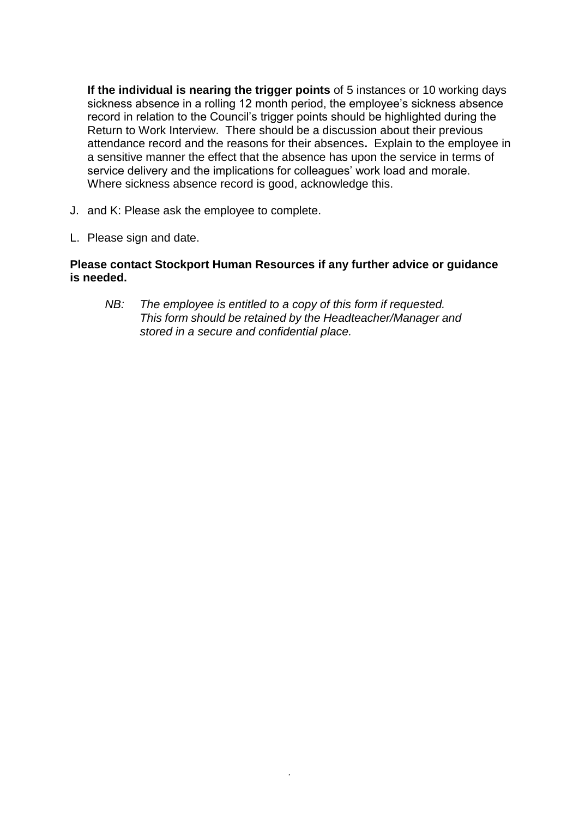**If the individual is nearing the trigger points** of 5 instances or 10 working days sickness absence in a rolling 12 month period, the employee's sickness absence record in relation to the Council's trigger points should be highlighted during the Return to Work Interview. There should be a discussion about their previous attendance record and the reasons for their absences**.** Explain to the employee in a sensitive manner the effect that the absence has upon the service in terms of service delivery and the implications for colleagues' work load and morale. Where sickness absence record is good, acknowledge this.

- J. and K: Please ask the employee to complete.
- L. Please sign and date.

### **Please contact Stockport Human Resources if any further advice or guidance is needed.**

*NB: The employee is entitled to a copy of this form if requested. This form should be retained by the Headteacher/Manager and stored in a secure and confidential place.*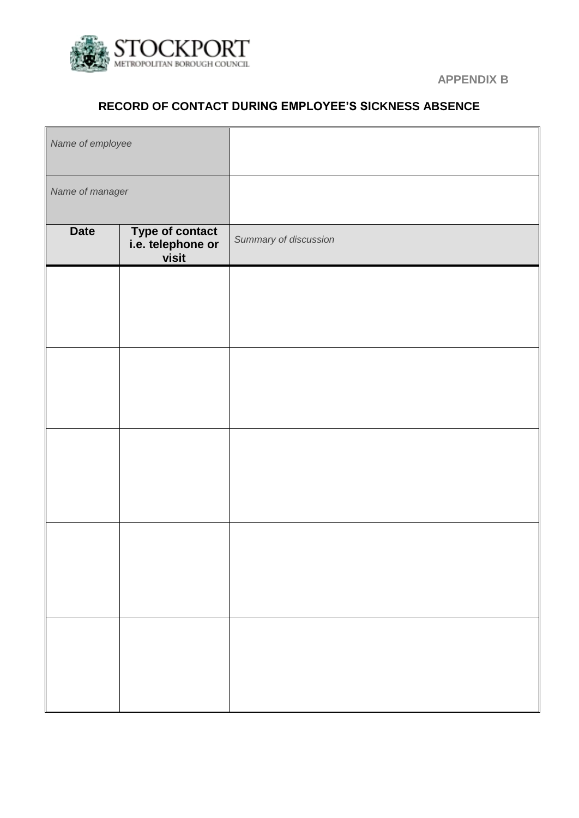

 **APPENDIX B**

### **RECORD OF CONTACT DURING EMPLOYEE'S SICKNESS ABSENCE**

| Name of employee |                                                      |                       |
|------------------|------------------------------------------------------|-----------------------|
| Name of manager  |                                                      |                       |
| <b>Date</b>      | <b>Type of contact</b><br>i.e. telephone or<br>visit | Summary of discussion |
|                  |                                                      |                       |
|                  |                                                      |                       |
|                  |                                                      |                       |
|                  |                                                      |                       |
|                  |                                                      |                       |
|                  |                                                      |                       |
|                  |                                                      |                       |
|                  |                                                      |                       |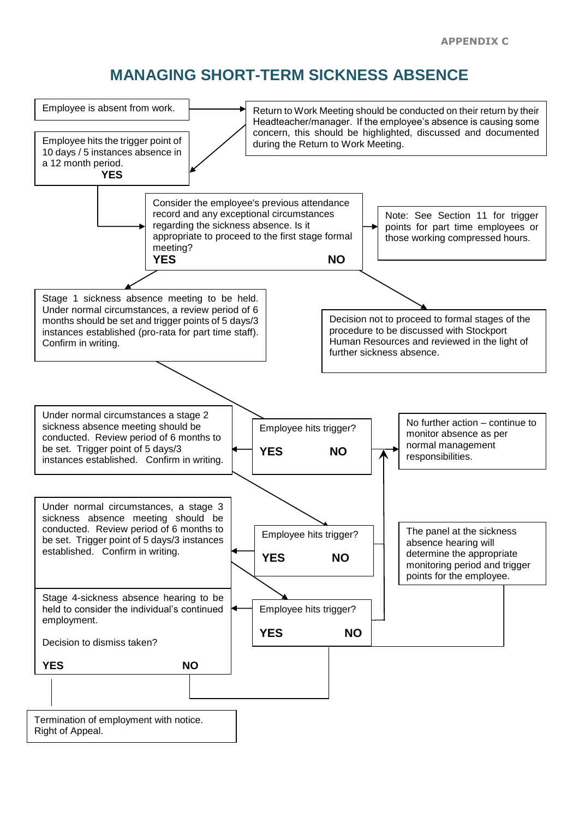# **MANAGING SHORT-TERM SICKNESS ABSENCE**

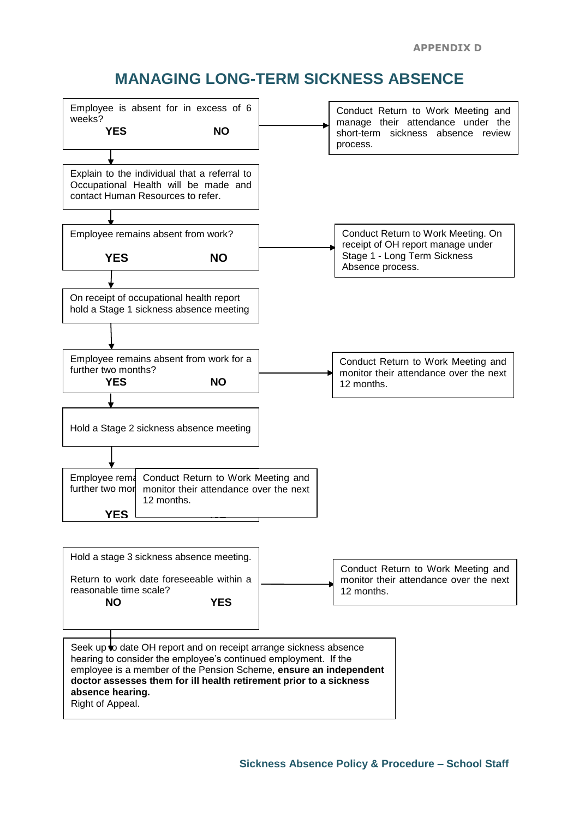# **MANAGING LONG-TERM SICKNESS ABSENCE**



Right of Appeal.